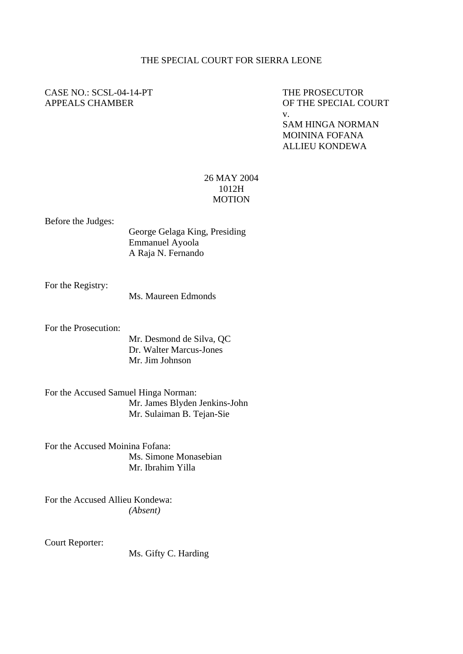## THE SPECIAL COURT FOR SIERRA LEONE

## CASE NO.: SCSL-04-14-PT THE PROSECUTOR

APPEALS CHAMBER OF THE SPECIAL COURT v. SAM HINGA NORMAN

 MOININA FOFANA ALLIEU KONDEWA

## 26 MAY 2004 1012H **MOTION**

## Before the Judges:

George Gelaga King, Presiding Emmanuel Ayoola A Raja N. Fernando

For the Registry:

Ms. Maureen Edmonds

For the Prosecution:

Mr. Desmond de Silva, QC Dr. Walter Marcus-Jones Mr. Jim Johnson

For the Accused Samuel Hinga Norman: Mr. James Blyden Jenkins-John Mr. Sulaiman B. Tejan-Sie

For the Accused Moinina Fofana: Ms. Simone Monasebian Mr. Ibrahim Yilla

For the Accused Allieu Kondewa: *(Absent)* 

Court Reporter:

Ms. Gifty C. Harding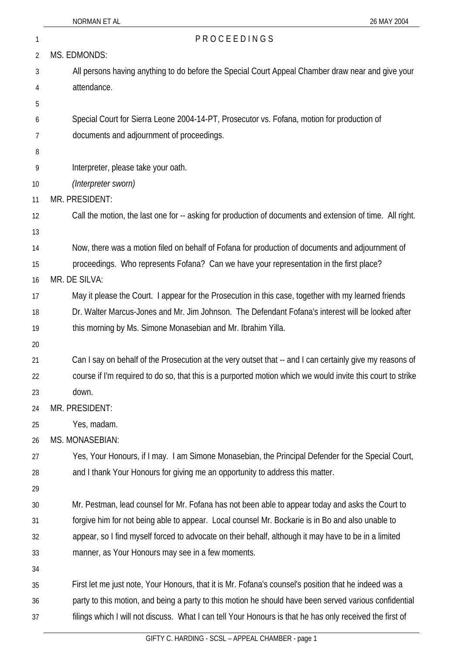| 1              | PROCEEDINGS                                                                                                 |  |
|----------------|-------------------------------------------------------------------------------------------------------------|--|
| $\overline{2}$ | MS. EDMONDS:                                                                                                |  |
| 3              | All persons having anything to do before the Special Court Appeal Chamber draw near and give your           |  |
| 4              | attendance.                                                                                                 |  |
| 5              |                                                                                                             |  |
| 6              | Special Court for Sierra Leone 2004-14-PT, Prosecutor vs. Fofana, motion for production of                  |  |
| 7              | documents and adjournment of proceedings.                                                                   |  |
| 8              |                                                                                                             |  |
| 9              | Interpreter, please take your oath.                                                                         |  |
| 10             | (Interpreter sworn)                                                                                         |  |
| 11             | MR. PRESIDENT:                                                                                              |  |
| 12             | Call the motion, the last one for -- asking for production of documents and extension of time. All right.   |  |
| 13             |                                                                                                             |  |
| 14             | Now, there was a motion filed on behalf of Fofana for production of documents and adjournment of            |  |
| 15             | proceedings. Who represents Fofana? Can we have your representation in the first place?                     |  |
| 16             | MR. DE SILVA:                                                                                               |  |
| 17             | May it please the Court. I appear for the Prosecution in this case, together with my learned friends        |  |
| 18             | Dr. Walter Marcus-Jones and Mr. Jim Johnson. The Defendant Fofana's interest will be looked after           |  |
| 19             | this morning by Ms. Simone Monasebian and Mr. Ibrahim Yilla.                                                |  |
| 20             |                                                                                                             |  |
| 21             | Can I say on behalf of the Prosecution at the very outset that -- and I can certainly give my reasons of    |  |
| 22             | course if I'm required to do so, that this is a purported motion which we would invite this court to strike |  |
| 23             | down.                                                                                                       |  |
| 24             | MR. PRESIDENT:                                                                                              |  |
| 25             | Yes, madam.                                                                                                 |  |
| 26             | MS. MONASEBIAN:                                                                                             |  |
| 27             | Yes, Your Honours, if I may. I am Simone Monasebian, the Principal Defender for the Special Court,          |  |
| 28             | and I thank Your Honours for giving me an opportunity to address this matter.                               |  |
| 29             |                                                                                                             |  |
| 30             | Mr. Pestman, lead counsel for Mr. Fofana has not been able to appear today and asks the Court to            |  |
| 31             | forgive him for not being able to appear. Local counsel Mr. Bockarie is in Bo and also unable to            |  |
| 32             | appear, so I find myself forced to advocate on their behalf, although it may have to be in a limited        |  |
| 33             | manner, as Your Honours may see in a few moments.                                                           |  |
| 34             |                                                                                                             |  |
| 35             | First let me just note, Your Honours, that it is Mr. Fofana's counsel's position that he indeed was a       |  |
| 36             | party to this motion, and being a party to this motion he should have been served various confidential      |  |
| 37             | filings which I will not discuss. What I can tell Your Honours is that he has only received the first of    |  |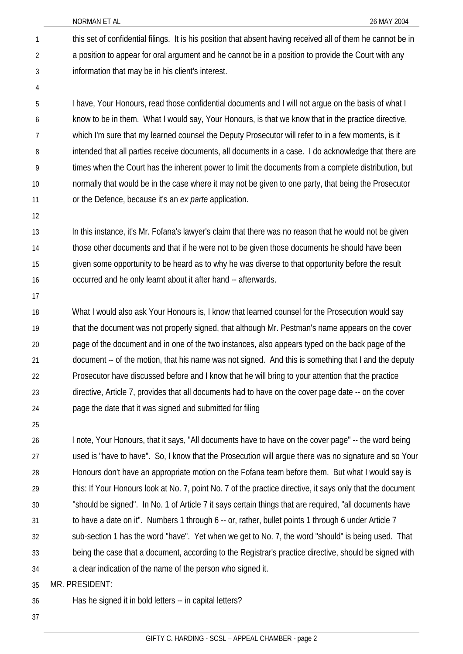NORMAN ET AL 26 MAY 2004

this set of confidential filings. It is his position that absent having received all of them he cannot be in a position to appear for oral argument and he cannot be in a position to provide the Court with any information that may be in his client's interest. 1 2 3

4

5 6 7 8 9 10 11 I have, Your Honours, read those confidential documents and I will not argue on the basis of what I know to be in them. What I would say, Your Honours, is that we know that in the practice directive, which I'm sure that my learned counsel the Deputy Prosecutor will refer to in a few moments, is it intended that all parties receive documents, all documents in a case. I do acknowledge that there are times when the Court has the inherent power to limit the documents from a complete distribution, but normally that would be in the case where it may not be given to one party, that being the Prosecutor or the Defence, because it's an *ex parte* application.

12

13 14 15 16 In this instance, it's Mr. Fofana's lawyer's claim that there was no reason that he would not be given those other documents and that if he were not to be given those documents he should have been given some opportunity to be heard as to why he was diverse to that opportunity before the result occurred and he only learnt about it after hand -- afterwards.

17

18 19 20 21 22 23 24 What I would also ask Your Honours is, I know that learned counsel for the Prosecution would say that the document was not properly signed, that although Mr. Pestman's name appears on the cover page of the document and in one of the two instances, also appears typed on the back page of the document -- of the motion, that his name was not signed. And this is something that I and the deputy Prosecutor have discussed before and I know that he will bring to your attention that the practice directive, Article 7, provides that all documents had to have on the cover page date -- on the cover page the date that it was signed and submitted for filing

25

26 27 28 29 30 31 32 33 34 I note, Your Honours, that it says, "All documents have to have on the cover page" -- the word being used is "have to have". So, I know that the Prosecution will argue there was no signature and so Your Honours don't have an appropriate motion on the Fofana team before them. But what I would say is this: If Your Honours look at No. 7, point No. 7 of the practice directive, it says only that the document "should be signed". In No. 1 of Article 7 it says certain things that are required, "all documents have to have a date on it". Numbers 1 through 6 -- or, rather, bullet points 1 through 6 under Article 7 sub-section 1 has the word "have". Yet when we get to No. 7, the word "should" is being used. That being the case that a document, according to the Registrar's practice directive, should be signed with a clear indication of the name of the person who signed it.

35 MR. PRESIDENT:

36 Has he signed it in bold letters -- in capital letters?

37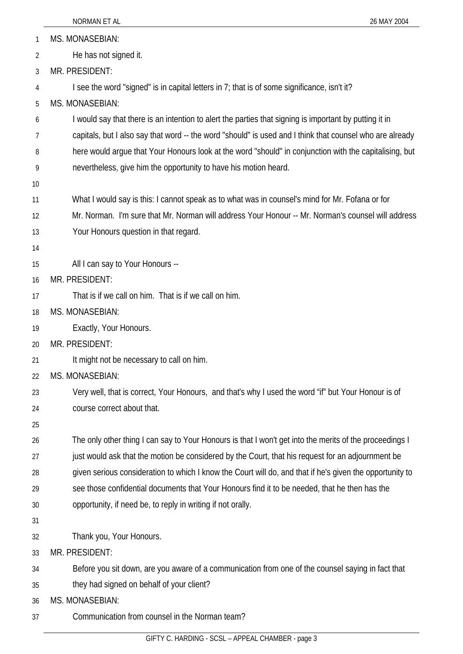|    | NORMAN ET AL<br>26 MAY 2004                                                                              |  |
|----|----------------------------------------------------------------------------------------------------------|--|
| 1  | <b>MS. MONASEBIAN:</b>                                                                                   |  |
| 2  | He has not signed it.                                                                                    |  |
| 3  | MR. PRESIDENT:                                                                                           |  |
| 4  | I see the word "signed" is in capital letters in 7; that is of some significance, isn't it?              |  |
| 5  | <b>MS. MONASEBIAN:</b>                                                                                   |  |
| 6  | I would say that there is an intention to alert the parties that signing is important by putting it in   |  |
| 7  | capitals, but I also say that word -- the word "should" is used and I think that counsel who are already |  |
| 8  | here would argue that Your Honours look at the word "should" in conjunction with the capitalising, but   |  |
| 9  | nevertheless, give him the opportunity to have his motion heard.                                         |  |
| 10 |                                                                                                          |  |
| 11 | What I would say is this: I cannot speak as to what was in counsel's mind for Mr. Fofana or for          |  |
| 12 | Mr. Norman. I'm sure that Mr. Norman will address Your Honour -- Mr. Norman's counsel will address       |  |
| 13 | Your Honours question in that regard.                                                                    |  |
| 14 |                                                                                                          |  |
| 15 | All I can say to Your Honours --                                                                         |  |
| 16 | MR. PRESIDENT:                                                                                           |  |
| 17 | That is if we call on him. That is if we call on him.                                                    |  |
| 18 | <b>MS. MONASEBIAN:</b>                                                                                   |  |
| 19 | Exactly, Your Honours.                                                                                   |  |
| 20 | MR. PRESIDENT:                                                                                           |  |
| 21 | It might not be necessary to call on him.                                                                |  |
| 22 | <b>MS. MONASEBIAN:</b>                                                                                   |  |
| 23 | Very well, that is correct, Your Honours, and that's why I used the word "if" but Your Honour is of      |  |
| 24 | course correct about that.                                                                               |  |
| 25 |                                                                                                          |  |
| 26 | The only other thing I can say to Your Honours is that I won't get into the merits of the proceedings I  |  |
| 27 | just would ask that the motion be considered by the Court, that his request for an adjournment be        |  |
| 28 | given serious consideration to which I know the Court will do, and that if he's given the opportunity to |  |
| 29 | see those confidential documents that Your Honours find it to be needed, that he then has the            |  |
| 30 | opportunity, if need be, to reply in writing if not orally.                                              |  |
| 31 |                                                                                                          |  |
| 32 | Thank you, Your Honours.                                                                                 |  |
| 33 | MR. PRESIDENT:                                                                                           |  |
| 34 | Before you sit down, are you aware of a communication from one of the counsel saying in fact that        |  |
| 35 | they had signed on behalf of your client?                                                                |  |
| 36 | <b>MS. MONASEBIAN:</b>                                                                                   |  |
| 37 | Communication from counsel in the Norman team?                                                           |  |
|    |                                                                                                          |  |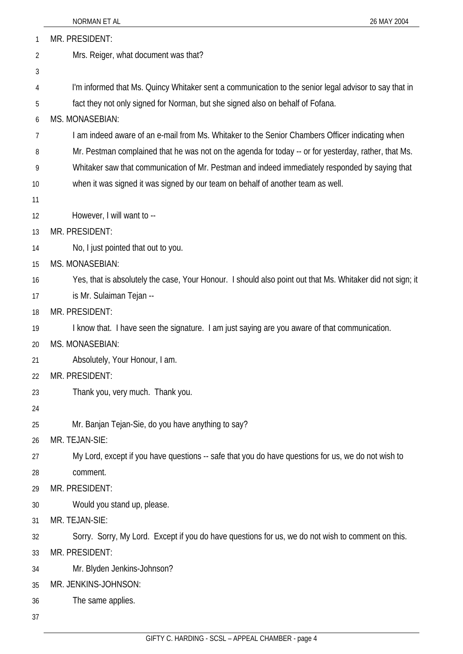|    | NORMAN ET AL<br>26 MAY 2004                                                                               |  |
|----|-----------------------------------------------------------------------------------------------------------|--|
| 1  | MR. PRESIDENT:                                                                                            |  |
| 2  | Mrs. Reiger, what document was that?                                                                      |  |
| 3  |                                                                                                           |  |
| 4  | I'm informed that Ms. Quincy Whitaker sent a communication to the senior legal advisor to say that in     |  |
| 5  | fact they not only signed for Norman, but she signed also on behalf of Fofana.                            |  |
| 6  | <b>MS. MONASEBIAN:</b>                                                                                    |  |
| 7  | I am indeed aware of an e-mail from Ms. Whitaker to the Senior Chambers Officer indicating when           |  |
| 8  | Mr. Pestman complained that he was not on the agenda for today -- or for yesterday, rather, that Ms.      |  |
| 9  | Whitaker saw that communication of Mr. Pestman and indeed immediately responded by saying that            |  |
| 10 | when it was signed it was signed by our team on behalf of another team as well.                           |  |
| 11 |                                                                                                           |  |
| 12 | However, I will want to --                                                                                |  |
| 13 | MR. PRESIDENT:                                                                                            |  |
| 14 | No, I just pointed that out to you.                                                                       |  |
| 15 | <b>MS. MONASEBIAN:</b>                                                                                    |  |
| 16 | Yes, that is absolutely the case, Your Honour. I should also point out that Ms. Whitaker did not sign; it |  |
| 17 | is Mr. Sulaiman Tejan --                                                                                  |  |
| 18 | MR. PRESIDENT:                                                                                            |  |
| 19 | I know that. I have seen the signature. I am just saying are you aware of that communication.             |  |
| 20 | <b>MS. MONASEBIAN:</b>                                                                                    |  |
| 21 | Absolutely, Your Honour, I am.                                                                            |  |
| 22 | MR. PRESIDENT:                                                                                            |  |
| 23 | Thank you, very much. Thank you.                                                                          |  |
| 24 |                                                                                                           |  |
| 25 | Mr. Banjan Tejan-Sie, do you have anything to say?                                                        |  |
| 26 | MR. TEJAN-SIE:                                                                                            |  |
| 27 | My Lord, except if you have questions -- safe that you do have questions for us, we do not wish to        |  |
| 28 | comment.                                                                                                  |  |
| 29 | MR. PRESIDENT:                                                                                            |  |
| 30 | Would you stand up, please.                                                                               |  |
| 31 | MR. TEJAN-SIE:                                                                                            |  |
| 32 | Sorry. Sorry, My Lord. Except if you do have questions for us, we do not wish to comment on this.         |  |
| 33 | MR. PRESIDENT:                                                                                            |  |
| 34 | Mr. Blyden Jenkins-Johnson?                                                                               |  |
| 35 | MR. JENKINS-JOHNSON:                                                                                      |  |
| 36 | The same applies.                                                                                         |  |
| 37 |                                                                                                           |  |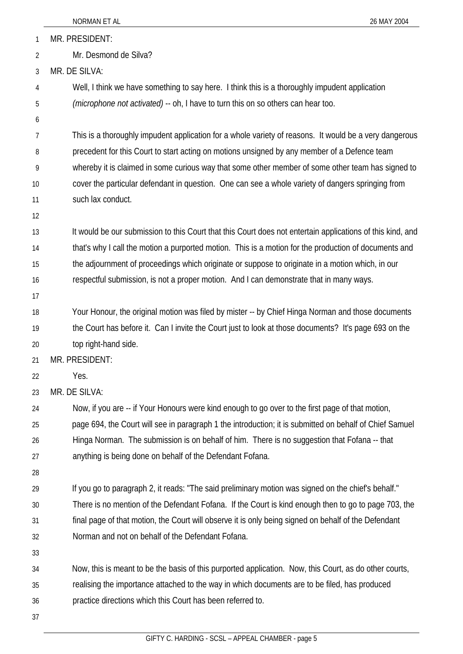|              | NORMAN ET AL<br>26 MAY 2004                                                                                                                                                                                |  |  |
|--------------|------------------------------------------------------------------------------------------------------------------------------------------------------------------------------------------------------------|--|--|
| $\mathbf{1}$ | MR. PRESIDENT:                                                                                                                                                                                             |  |  |
| 2            | Mr. Desmond de Silva?                                                                                                                                                                                      |  |  |
| 3            | MR. DE SILVA:                                                                                                                                                                                              |  |  |
| 4            | Well, I think we have something to say here. I think this is a thoroughly impudent application                                                                                                             |  |  |
| 5            | (microphone not activated) -- oh, I have to turn this on so others can hear too.                                                                                                                           |  |  |
| 6            |                                                                                                                                                                                                            |  |  |
| 7            | This is a thoroughly impudent application for a whole variety of reasons. It would be a very dangerous                                                                                                     |  |  |
| 8            | precedent for this Court to start acting on motions unsigned by any member of a Defence team                                                                                                               |  |  |
| 9            | whereby it is claimed in some curious way that some other member of some other team has signed to                                                                                                          |  |  |
| 10           | cover the particular defendant in question. One can see a whole variety of dangers springing from                                                                                                          |  |  |
| 11           | such lax conduct.                                                                                                                                                                                          |  |  |
| 12           |                                                                                                                                                                                                            |  |  |
| 13           | It would be our submission to this Court that this Court does not entertain applications of this kind, and                                                                                                 |  |  |
| 14           | that's why I call the motion a purported motion. This is a motion for the production of documents and                                                                                                      |  |  |
| 15           | the adjournment of proceedings which originate or suppose to originate in a motion which, in our                                                                                                           |  |  |
| 16           | respectful submission, is not a proper motion. And I can demonstrate that in many ways.                                                                                                                    |  |  |
| 17           |                                                                                                                                                                                                            |  |  |
| 18<br>19     | Your Honour, the original motion was filed by mister -- by Chief Hinga Norman and those documents<br>the Court has before it. Can I invite the Court just to look at those documents? It's page 693 on the |  |  |
| 20           | top right-hand side.                                                                                                                                                                                       |  |  |
| 21           | MR. PRESIDENT:                                                                                                                                                                                             |  |  |
| 22           | Yes.                                                                                                                                                                                                       |  |  |
| 23           | MR. DE SILVA:                                                                                                                                                                                              |  |  |
| 24           | Now, if you are -- if Your Honours were kind enough to go over to the first page of that motion,                                                                                                           |  |  |
| 25           | page 694, the Court will see in paragraph 1 the introduction; it is submitted on behalf of Chief Samuel                                                                                                    |  |  |
| 26           | Hinga Norman. The submission is on behalf of him. There is no suggestion that Fofana -- that                                                                                                               |  |  |
| 27           | anything is being done on behalf of the Defendant Fofana.                                                                                                                                                  |  |  |
| 28           |                                                                                                                                                                                                            |  |  |
| 29           | If you go to paragraph 2, it reads: "The said preliminary motion was signed on the chief's behalf."                                                                                                        |  |  |
| 30           | There is no mention of the Defendant Fofana. If the Court is kind enough then to go to page 703, the                                                                                                       |  |  |
| 31           | final page of that motion, the Court will observe it is only being signed on behalf of the Defendant                                                                                                       |  |  |
| 32           | Norman and not on behalf of the Defendant Fofana.                                                                                                                                                          |  |  |
| 33           |                                                                                                                                                                                                            |  |  |
| 34           | Now, this is meant to be the basis of this purported application. Now, this Court, as do other courts,                                                                                                     |  |  |
| 35           | realising the importance attached to the way in which documents are to be filed, has produced                                                                                                              |  |  |
| 36           | practice directions which this Court has been referred to.                                                                                                                                                 |  |  |
| 37           |                                                                                                                                                                                                            |  |  |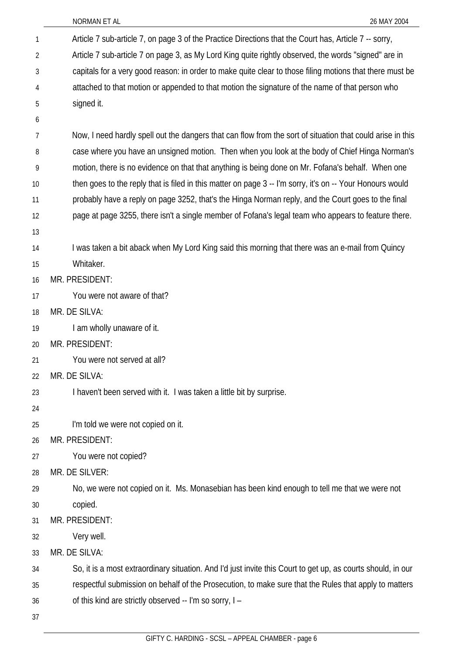| $\mathbf{1}$ | Article 7 sub-article 7, on page 3 of the Practice Directions that the Court has, Article 7 -- sorry,        |  |  |  |
|--------------|--------------------------------------------------------------------------------------------------------------|--|--|--|
| 2            | Article 7 sub-article 7 on page 3, as My Lord King quite rightly observed, the words "signed" are in         |  |  |  |
| 3            | capitals for a very good reason: in order to make quite clear to those filing motions that there must be     |  |  |  |
| 4            | attached to that motion or appended to that motion the signature of the name of that person who              |  |  |  |
| 5            | signed it.                                                                                                   |  |  |  |
| 6            |                                                                                                              |  |  |  |
| 7            | Now, I need hardly spell out the dangers that can flow from the sort of situation that could arise in this   |  |  |  |
| 8            | case where you have an unsigned motion. Then when you look at the body of Chief Hinga Norman's               |  |  |  |
| 9            | motion, there is no evidence on that that anything is being done on Mr. Fofana's behalf. When one            |  |  |  |
| 10           | then goes to the reply that is filed in this matter on page 3 -- I'm sorry, it's on -- Your Honours would    |  |  |  |
| 11           | probably have a reply on page 3252, that's the Hinga Norman reply, and the Court goes to the final           |  |  |  |
| 12           | page at page 3255, there isn't a single member of Fofana's legal team who appears to feature there.          |  |  |  |
| 13           |                                                                                                              |  |  |  |
| 14           | I was taken a bit aback when My Lord King said this morning that there was an e-mail from Quincy             |  |  |  |
| 15           | Whitaker.                                                                                                    |  |  |  |
| 16           | MR. PRESIDENT:                                                                                               |  |  |  |
| 17           | You were not aware of that?                                                                                  |  |  |  |
| 18           | MR. DE SILVA:                                                                                                |  |  |  |
| 19           | I am wholly unaware of it.                                                                                   |  |  |  |
| 20           | MR. PRESIDENT:                                                                                               |  |  |  |
| 21           | You were not served at all?                                                                                  |  |  |  |
| 22           | MR. DE SILVA:                                                                                                |  |  |  |
| 23           | I haven't been served with it. I was taken a little bit by surprise.                                         |  |  |  |
| 24           |                                                                                                              |  |  |  |
| 25           | I'm told we were not copied on it.                                                                           |  |  |  |
| 26           | MR. PRESIDENT:                                                                                               |  |  |  |
| 27           | You were not copied?                                                                                         |  |  |  |
| 28           | MR. DE SILVER:                                                                                               |  |  |  |
| 29           | No, we were not copied on it. Ms. Monasebian has been kind enough to tell me that we were not                |  |  |  |
| 30           | copied.                                                                                                      |  |  |  |
| 31           | MR. PRESIDENT:                                                                                               |  |  |  |
| 32           | Very well.                                                                                                   |  |  |  |
| 33           | MR. DE SILVA:                                                                                                |  |  |  |
| 34           | So, it is a most extraordinary situation. And I'd just invite this Court to get up, as courts should, in our |  |  |  |
| 35           | respectful submission on behalf of the Prosecution, to make sure that the Rules that apply to matters        |  |  |  |
| 36           | of this kind are strictly observed -- I'm so sorry, I -                                                      |  |  |  |
| 37           |                                                                                                              |  |  |  |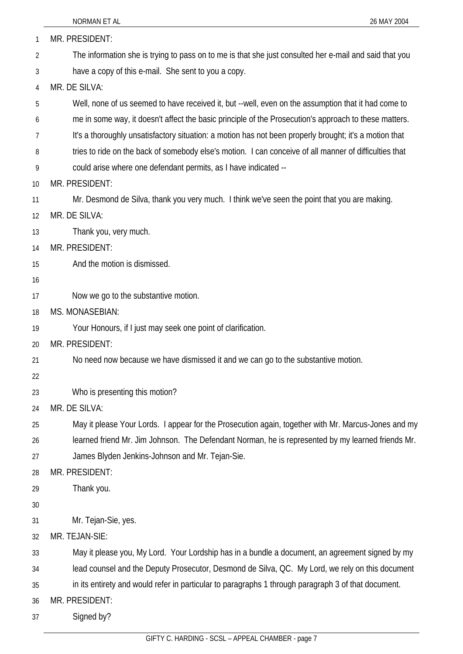| 1              | MR. PRESIDENT:                                                                                         |  |  |  |
|----------------|--------------------------------------------------------------------------------------------------------|--|--|--|
| $\overline{2}$ | The information she is trying to pass on to me is that she just consulted her e-mail and said that you |  |  |  |
| 3              | have a copy of this e-mail. She sent to you a copy.                                                    |  |  |  |
| 4              | MR. DE SILVA:                                                                                          |  |  |  |
| 5              | Well, none of us seemed to have received it, but --well, even on the assumption that it had come to    |  |  |  |
| 6              | me in some way, it doesn't affect the basic principle of the Prosecution's approach to these matters.  |  |  |  |
| 7              | It's a thoroughly unsatisfactory situation: a motion has not been properly brought; it's a motion that |  |  |  |
| 8              | tries to ride on the back of somebody else's motion. I can conceive of all manner of difficulties that |  |  |  |
| 9              | could arise where one defendant permits, as I have indicated --                                        |  |  |  |
| 10             | MR. PRESIDENT:                                                                                         |  |  |  |
| 11             | Mr. Desmond de Silva, thank you very much. I think we've seen the point that you are making.           |  |  |  |
| 12             | MR. DE SILVA:                                                                                          |  |  |  |
| 13             | Thank you, very much.                                                                                  |  |  |  |
| 14             | MR. PRESIDENT:                                                                                         |  |  |  |
| 15             | And the motion is dismissed.                                                                           |  |  |  |
| 16             |                                                                                                        |  |  |  |
| 17             | Now we go to the substantive motion.                                                                   |  |  |  |
| 18             | <b>MS. MONASEBIAN:</b>                                                                                 |  |  |  |
| 19             | Your Honours, if I just may seek one point of clarification.                                           |  |  |  |
| 20             | MR. PRESIDENT:                                                                                         |  |  |  |
| 21             | No need now because we have dismissed it and we can go to the substantive motion.                      |  |  |  |
| 22             |                                                                                                        |  |  |  |
| 23             | Who is presenting this motion?                                                                         |  |  |  |
| 24             | MR. DE SILVA:                                                                                          |  |  |  |
| 25             | May it please Your Lords. I appear for the Prosecution again, together with Mr. Marcus-Jones and my    |  |  |  |
| 26             | learned friend Mr. Jim Johnson. The Defendant Norman, he is represented by my learned friends Mr.      |  |  |  |
| 27             | James Blyden Jenkins-Johnson and Mr. Tejan-Sie.                                                        |  |  |  |
| 28             | MR. PRESIDENT:                                                                                         |  |  |  |
| 29             | Thank you.                                                                                             |  |  |  |
| 30             |                                                                                                        |  |  |  |
| 31             | Mr. Tejan-Sie, yes.                                                                                    |  |  |  |
| 32             | MR. TEJAN-SIE:                                                                                         |  |  |  |
| 33             | May it please you, My Lord. Your Lordship has in a bundle a document, an agreement signed by my        |  |  |  |
| 34             | lead counsel and the Deputy Prosecutor, Desmond de Silva, QC. My Lord, we rely on this document        |  |  |  |
| 35             | in its entirety and would refer in particular to paragraphs 1 through paragraph 3 of that document.    |  |  |  |
| 36             | MR. PRESIDENT:                                                                                         |  |  |  |
| 37             | Signed by?                                                                                             |  |  |  |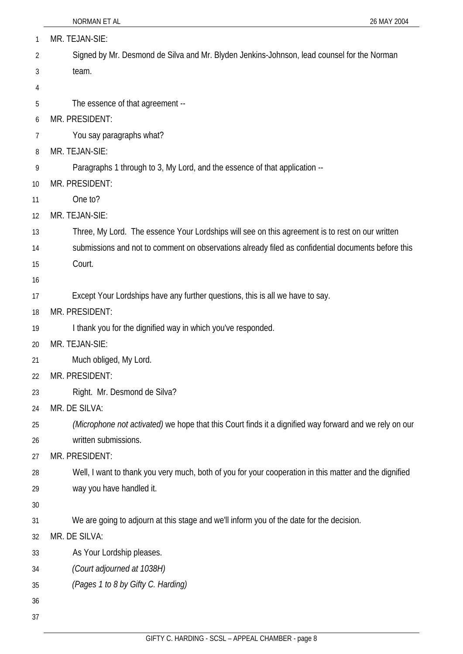| 1  | MR. TEJAN-SIE:                                                                                         |  |  |
|----|--------------------------------------------------------------------------------------------------------|--|--|
| 2  | Signed by Mr. Desmond de Silva and Mr. Blyden Jenkins-Johnson, lead counsel for the Norman             |  |  |
| 3  | team.                                                                                                  |  |  |
| 4  |                                                                                                        |  |  |
| 5  | The essence of that agreement --                                                                       |  |  |
| 6  | MR. PRESIDENT:                                                                                         |  |  |
| 7  | You say paragraphs what?                                                                               |  |  |
| 8  | MR. TEJAN-SIE:                                                                                         |  |  |
| 9  | Paragraphs 1 through to 3, My Lord, and the essence of that application --                             |  |  |
| 10 | MR. PRESIDENT:                                                                                         |  |  |
| 11 | One to?                                                                                                |  |  |
| 12 | MR. TEJAN-SIE:                                                                                         |  |  |
| 13 | Three, My Lord. The essence Your Lordships will see on this agreement is to rest on our written        |  |  |
| 14 | submissions and not to comment on observations already filed as confidential documents before this     |  |  |
| 15 | Court.                                                                                                 |  |  |
| 16 |                                                                                                        |  |  |
| 17 | Except Your Lordships have any further questions, this is all we have to say.                          |  |  |
| 18 | MR. PRESIDENT:                                                                                         |  |  |
| 19 | I thank you for the dignified way in which you've responded.                                           |  |  |
| 20 | MR. TEJAN-SIE:                                                                                         |  |  |
| 21 | Much obliged, My Lord.                                                                                 |  |  |
| 22 | MR. PRESIDENT:                                                                                         |  |  |
| 23 | Right. Mr. Desmond de Silva?                                                                           |  |  |
| 24 | MR. DE SILVA:                                                                                          |  |  |
| 25 | (Microphone not activated) we hope that this Court finds it a dignified way forward and we rely on our |  |  |
| 26 | written submissions.                                                                                   |  |  |
| 27 | MR. PRESIDENT:                                                                                         |  |  |
| 28 | Well, I want to thank you very much, both of you for your cooperation in this matter and the dignified |  |  |
| 29 | way you have handled it.                                                                               |  |  |
| 30 |                                                                                                        |  |  |
| 31 | We are going to adjourn at this stage and we'll inform you of the date for the decision.               |  |  |
| 32 | MR. DE SILVA:                                                                                          |  |  |
| 33 | As Your Lordship pleases.                                                                              |  |  |
| 34 | (Court adjourned at 1038H)                                                                             |  |  |
| 35 | (Pages 1 to 8 by Gifty C. Harding)                                                                     |  |  |
| 36 |                                                                                                        |  |  |
| 37 |                                                                                                        |  |  |